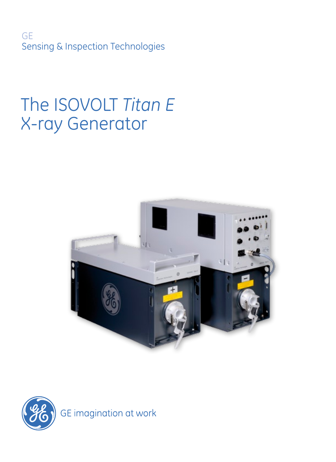GE Sensing & Inspection Technologies

# The ISOVOLT *Titan E* X-ray Generator



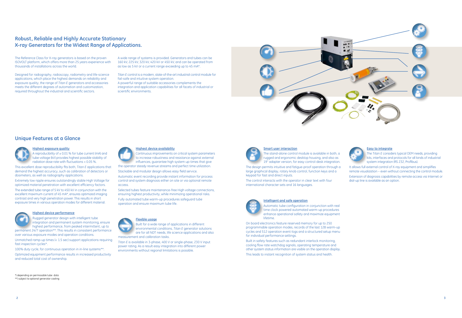### **Robust, Reliable and Highly Accurate Stationary X-ray Generators for the Widest Range of Applications.**

The Reference Class for X-ray generators is based on the proven ISOVOLT platform, which offers more than 25 years experience with thousands of installations across the world.

Designed for radiography, radioscopy, radiometry and life-science applications, which place the highest demands on reliability and exposure quality, the range of *Titan E* generators and accessories meets the different degrees of automation and customization, required throughout the industrial and scientific sectors.

A wide range of systems is provided. Generators and tubes can be 160 kV, 225 kV, 320 kV, 420 kV or 450 kV, and can be operated from as low as 5 kV or a current range exceeding up to 45 mA\*.

*Titan E* control is a modern, state-of-the-art industrial control module for fail-safe and intuitive system operation.

A powerful range of suitable accessories complements the integration and application capabilities for all facets of industrial or scientific environments.

\*) depending on permissable tube data \*\*) subject to optional generator cooling



#### **Highest device availability**

A reproducibility of  $\pm$  0.01 % for tube current (mA) and tube voltage (kV) provides highest possible stability of radiation dose rate with fluctuations < 0.05 %.

Continuous improvements on critical system parameters to increase robustness and resistance against external influences, guarantee high system up-times that give the operator steady revenue streams and perfect time utilization.

Stackable and modular design allows easy field service.

Automatic event recording provide instant information for process control and system diagnosis either on site or via optional remote access.

Selected tubes feature maintenance-free High voltage connections, ensuring highest productivity, while minimizing operational risks. Fully automated tube warm-up procedures safeguard tube operation and ensure maximum tube life.







environmental conditions, *Titan E* generator solutions are for all NDT needs, life science applications and also measurement and calibration tasks.

*Titan E* is available in 3-phase, 400 V or single-phase, 230 V input power rating. As a result easy integration into different power environments without regional limitations is possible.





#### **Highest exposure quality**



This excellent dose reproducibility fits both, *Titan E* applications that demand the highest accuracy, such as calibration of detectors or dosimeters, as well as radiography applications.

Extremely low ripple ensures outstandingly stable High Voltage for optimized material penetration with excellent efficiency factors. The extended tube range of 5 kV to 450 kV in conjunction with the excellent maximum current of 45 mA\*, ensures optimized imaging contrast and very high penetration power. This results in short exposure times in various operation modes for different material.



### **Highest device performance**

Rugged generator design with intelligent tube integration and permanent system monitoring, ensure highest performance, from peaked intermittent, up to permanent 24/7 operation\*\*. This results in consistent performance

over various exposure modes and operation conditions.

Unmatched ramp-up times (< 1.5 sec) support applications requiring fast inspection cycles\*.

100% duty cycle, for continuous operation in in-line systems\*\*.

Optimized equipment performance results in increased productivity and reduced total cost of ownership.



### **Smart user interaction**

The stand-alone control module is available in both, a rugged and ergonomic desktop housing, and also as 19" adapter version, for easy control-desk integration.

The design permits intuitive and fatigue-proof operation through a large graphical display, rotary knob control, function keys and a keypad for fast and direct inputs.

The control interacts with the operator in clear text with four international character sets and 16 languages.

#### **Intelligent and safe operation**



Automatic tube configuration in conjunction with real time clock powered automated warm-up procedures enhance operational safety and maximize equipment lifetime.

On board electronics feature reserved memory for up to 250 programmable operation modes, records of the last 128 warm-up cycles and 512 operation event-logs and a structured setup menu for individual performance settings.

Built in safety features such as redundant interlock monitoring, cooling flow rate watchdog signals, operating temperature and other system status information are visible on the operation display. This leads to instant recognition of system status and health.

### **Easy to integrate**

The *Titan E* considers typical OEM needs, providing kits, interfaces and protocols for all kinds of industrial system integration (RS 232, Profibus).

It allows full external control of X-ray equipment and simplifies remote visualization – even without connecting the control module. Extension of diagnosis capabilities by remote access via Internet or dial-up line is available as an option.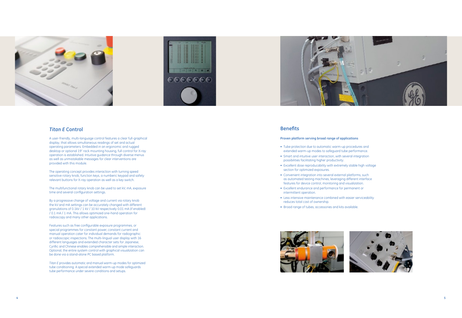





### *Titan E* **Control**

A user-friendly, multi-language control features a clear full-graphical display, that allows simultaneous readings of set and actual operating parameters. Embedded in an ergonomic and rugged desktop or optional 19" rack mounting housing, full control for X-ray operation is established. Intuitive guidance through diverse menus as well as unmistakable messages for clear interventions are provided with this module.

The operating concept provides interaction with turning speed sensitive rotary knob, function keys, a numberic keypad and safety relevant buttons for X-ray operation as well as a key switch.

The multifunctional rotary knob can be used to set kV, mA, exposure time and several configuration settings.

By a progressive change of voltage and current via rotary knob the kV and mA settings can be accurately changed with different granulations of 0.1kV / 1 kV / 10 kV respectively 0.01 mA (if enabled) / 0.1 mA / 1 mA. This allows optimized one-hand operation for radioscopy and many other applications.

Features such as free configurable exposure programmes, or special programmes for constant power, constant current and manual operation cater for individual demands for radiographic or radioscopic inspections. The multi-lingual user display with 16 different languages and extended character sets for Japanese, Cyrillic and Chinese enables comprehensible and simple interaction. Optional, the entire system control with graphical visualization can be done via a stand-alone PC based platform.

*Titan E* provides automatic and manual warm-up modes for optimized tube conditioning. A special extended warm-up mode safeguards tube performance under severe conditions and setups.

### **Benefits**

### **Proven platform serving broad range of applications**

- Tube protection due to automatic warm-up procedures and extended warm-up modes to safeguard tube performance. • Smart and intuitive user interaction, with several integration
- possibilities facilitating higher productivity.
- Excellent dose reproducability with extremely stable high voltage section for optimized exposures.
- Convenient integration into several external platforms, such as automated testing machines, leveraging different interface features for device control, monitoring and visualization.
- Excellent endurance and performance for permanent or intermittent operation.
- Less intensive maintenance combined with easier serviceability reduces total cost of ownership.
- Broad range of tubes, accessories and kits available.



- 
- 



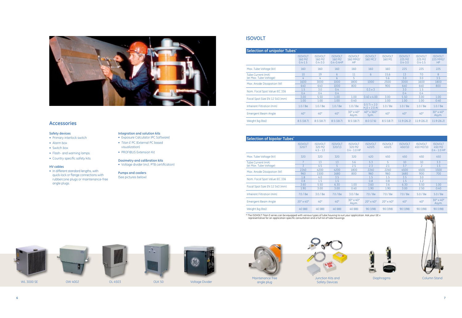### **Isovolt**



| Selection of unipolar Tubes*   |                                                     |                                                     |                                                        |                                     |                                       |                          |                                         |                                                     |                                         |
|--------------------------------|-----------------------------------------------------|-----------------------------------------------------|--------------------------------------------------------|-------------------------------------|---------------------------------------|--------------------------|-----------------------------------------|-----------------------------------------------------|-----------------------------------------|
|                                | <b>ISOVOLT</b><br>160 M <sub>2</sub><br>$0.4 - 1.5$ | <b>ISOVOLT</b><br>160 M <sub>2</sub><br>$0.4 - 3.0$ | <b>ISOVOLT</b><br>160 M <sub>2</sub><br>$0.4 - 0.4$ HP | <b>ISOVOLT</b><br>160 MM2/<br>HP    | <b>ISOVOLT</b><br>160 MC <sub>2</sub> | <b>ISOVOLT</b><br>160 M1 | <b>ISOVOLT</b><br>225 M2<br>$0.4 - 3.0$ | <b>ISOVOLT</b><br>225 M <sub>2</sub><br>$0.4 - 1.5$ | <b>ISOVOLT</b><br>225 MM2/<br><b>HP</b> |
| Max. Tube Voltage (kV)         | 160                                                 | 160                                                 | 160                                                    | 160                                 | 160                                   | 160                      | 225                                     | 225                                                 | 225                                     |
| Tube Current (mA)              | 10                                                  | 19                                                  | 6                                                      | 11                                  | 6                                     | 15,6                     | 13                                      | 7.0                                                 | 8                                       |
| (at Max. Tube Voltage)         | 4                                                   | 4                                                   | 6                                                      | 5                                   |                                       | 5.6                      | 3.0                                     | 3.0                                                 | 3.5                                     |
| Max. Anode Dissipation (W)     | 1600                                                | 3000                                                | 1000                                                   | 1800                                | 1000                                  | 2500                     | 3000                                    | 1600                                                | 1800                                    |
|                                | 640                                                 | 640                                                 | 1000                                                   | 800                                 |                                       | 900                      | 640                                     | 640                                                 | 800                                     |
|                                | 1.5                                                 | 3.0                                                 | 0.4                                                    |                                     | $0.3 \times 3$                        |                          | 3.0                                     | 1.5                                                 |                                         |
| Nom. Focal Spot Value IEC 336  | 0,4                                                 | 0.4                                                 | 0.4                                                    |                                     |                                       |                          | 0.4                                     | 0.4                                                 |                                         |
|                                | 3.00                                                | 5.50                                                | 1.00                                                   | 1.00                                | $0.40 \times 4.00$                    | 3.00                     | 5.50                                    | 3.00                                                | 1.00                                    |
| Focal Spot Size EN 12 543 (mm) | 1.00                                                | 1.00                                                | 1.00                                                   | 0.40                                |                                       | 1.00                     | 1.00                                    | 1.00                                                | 0.40                                    |
| Inherent Filtration (mm)       | 1.0/Be                                              | $1.0$ / Be                                          | $1.0$ / Be                                             | $1.0$ / Be                          | $0.5$ Ti + 2.0<br>$H20 + 2.0$ Al      | 1.0/Be                   | $1.0$ / Be                              | 1.0/Be                                              | $1.0$ / Be                              |
| <b>Emergent Beam Angle</b>     | $40^{\circ}$                                        | $40^{\circ}$                                        | $40^{\circ}$                                           | $30^\circ \times 40^\circ$<br>Asym. | $40^\circ \times 360^\circ$<br>Sym.   | $40^{\circ}$             | $40^{\circ}$                            | $40^{\circ}$                                        | $30^\circ \times 40^\circ$<br>Asym.     |
| Weight (kg (lbs))              | 8.5(18.7)                                           | 8.5(18.7)                                           | 8.5(18.7)                                              | 8.5(18.7)                           | 8.0(17.6)                             | 8.5(18.7)                | 11.9(26.2)                              | 11.9 (26.2)                                         | 11.9(26.2)                              |

\* The ISOVOLT *Titan E* series can be equipped with various types of tube housing to suit your application. Ask your GE v representative for an application specific consultation and a full list of tube housings

• In different standard lengths, with quick-lock or flange connections with rubbercone plugs or maintenance-free angle plugs.

| Selection of bipolar Tubes*    |                            |                                                    |                          |                                            |                            |                            |                          |                             |                                                        |
|--------------------------------|----------------------------|----------------------------------------------------|--------------------------|--------------------------------------------|----------------------------|----------------------------|--------------------------|-----------------------------|--------------------------------------------------------|
|                                | <b>ISOVOLT</b><br>320/7    | <b>ISOVOLT</b><br>320 M <sub>2</sub><br>$4.5 - 13$ | <b>ISOVOLT</b><br>320/13 | <b>ISOVOLT</b><br>320 M2<br>$0.4 - 1.0$ HP | <b>ISOVOLT</b><br>420/5    | <b>ISOVOLT</b><br>450/5    | <b>ISOVOLT</b><br>450/10 | <b>ISOVOLT</b><br>450 M2/10 | <b>ISOVOLT</b><br>450 M <sub>2</sub><br>$0.4 - 1.0$ HP |
| Max. Tube Voltage (kV)         | 320                        | 320                                                | 320                      | 320                                        | 420                        | 450                        | 450                      | 450                         | 450                                                    |
| Tube Current (mA)              |                            | 13                                                 | 13                       | 5.6                                        | 5.3                        | 5                          | 10                       | 10                          | 3.3                                                    |
| (at Max. Tube Voltage)         | 3                          | 4.5                                                | 5                        | 2.5                                        | 2.3                        | 2.1                        | 3.7                      | $\overline{c}$              | 1.5                                                    |
| Max. Anode Dissipation (W)     | 2240                       | 4200                                               | 4200                     | 1800                                       | 2240                       | 2240                       | 4500                     | 4500                        | 1500                                                   |
|                                | 960                        | 1500                                               | 1680                     | 800                                        | 960                        | 960                        | 1680                     | 900                         | 700                                                    |
| Nom. Focal Spot Value IEC 336  | 1.8                        | 4.0                                                | 3.5                      |                                            | 1.5                        | 1.5                        | 3.5                      | 3.0                         |                                                        |
|                                | 0.8                        | 1.5                                                | 1.5                      |                                            | 0.8                        | 0.8                        | 1.5                      | 1.2                         |                                                        |
| Focal Spot Size EN 12 543 (mm) | 3.60                       | 5.50                                               | 6.30                     | 1.00                                       | 3.60                       | 3.6                        | 6.30                     | 5.50                        | 1.00                                                   |
|                                | 1.90                       | 3.00                                               | 3.00                     | 0.40                                       | 1.90                       | 1.90                       | 3.00                     | 2.50                        | 0.40                                                   |
| Inherent Filtration (mm)       | 7.0 / Be                   | 3.0/Be                                             | 7.0 / Be                 | 3.0/Be                                     | 7.0 / Be                   | 7.0 / Be                   | 7.0 / Be                 | 5.0/Be                      | 5.0/Be                                                 |
| <b>Emergent Beam Angle</b>     | $20^\circ \times 40^\circ$ | $40^{\circ}$                                       | $40^{\circ}$             | $30^\circ \times 40^\circ$<br>Asym.        | $20^\circ \times 40^\circ$ | $20^\circ \times 40^\circ$ | $40^{\circ}$             | $40^{\circ}$                | $30^\circ \times 40^\circ$<br>Asym.                    |
| Weight (kg (lbs))              | 40 (88)                    | 40 (88)                                            | 40 (88)                  | 40 (88)                                    | 90(198)                    | 90 (198)                   | 90 (198)                 | 90(198)                     | 90 (198)                                               |



### **Accessories**

### **Safety devices**

- Primary interlock switch
- Alarm box
- Switch box
- Flash- and warning lamps
- Country specific safety kits

### **HV cables**

### **Integration and solution kits**

- Exposure Calculator (PC Software) • *Titan E* PC (External PC based visualization)
- PROFIBUS Extension Kit

### **Dosimetry and calibration kits**

• Voltage divider (incl. PTB certification)

**Pumps and coolers** (See pictures below)

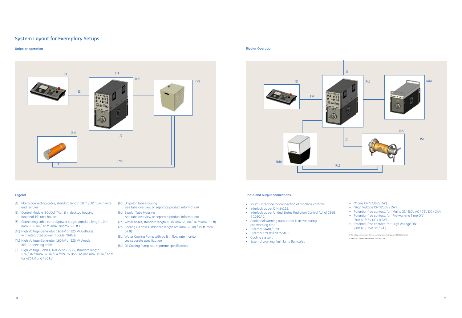### **System Layout for Exemplary Setups**

#### **Unipolar operation Bipolar Operation**

### **Legend**

- (1) Mains connecting cable, standard length 10 m / 32 ft, with wire end ferrules
- (2) Control Module ISOVOLT *Titan E* in desktop housing (optional 19" rack house)
- (3) Connecting cable control/power stage, standard length 10 m (max. 100 m) / 32 ft. (max. approx 320 ft.)
- (4a) High Voltage Generator, 160 kV or 225 kV, Cathode, with integrated power module *Titan E*
- (4b) High Voltage Generator, 160 kV or 225 kV, Anode incl. Connecting cable
- (5) High Voltage Cables, 160 kV or 225 kV, standard length 5 m / 16 ft (max. 20 m / 64 ft for 160 kV - 320 kV; max. 10 m / 32 ft for 420 kV and 450 kV)

#### **Input and output connections**

- RS 232 interface for connection of machine controls
- Interlock as per DIN 54113.
- Interlock as per United States Radiation Control Act of 1968, § 1020.40.
- Additional warning output that is active during pre-warning time.
- External START/STOP.
- External EMERGENCY-STOP.
- Cooling system.
- External warning flash lamp (fail-safe).
- "Mains ON" (230V / 2A<sup>2</sup>).
- "High Voltage ON" (230V / 2A $^2$ ).
- Potential-free contact, for "Mains ON" (60V AC / 75V DC / 2A<sup>1</sup>).
- Potential-free contact, for "Pre-warning Time ON"
- (30V AC/36V DC / 0.5A1 ).
- • Potential-free contact, for "High Voltage ON" (60V AC / 75V DC / 2A1 ).





- (6a) Unipolar Tube Housing
- (see tube overview or separate product information) (6b) Bipolar Tube Housing
- (see tube overview or separate product information)
- (7a) Water hoses, standard length 10 m (max. 20 m) / 16 ft (max. 32 ft)
- (7b) Cooling Oil hoses, standard length 6m (max. 20 m) / 19 ft (max. 64 ft) (8a) Water Cooling Pump with built in flow rate monitor,
- see separate specification
- (8b) Oil Cooling Pump, see separate specification

1) This voltage corresponds to the max. operating voltage (rating as per VDE 0110 Group B). 2) These 230 V contacts are collectively fused with 2.5 A.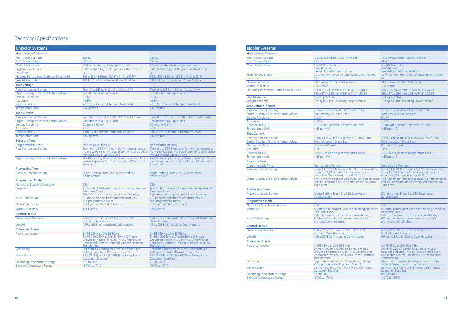## Technical Specifications

| <b>Unipolar Systems</b>                  |                                                                                                                                                               |                                                                                                                                                                                                   |  |  |  |
|------------------------------------------|---------------------------------------------------------------------------------------------------------------------------------------------------------------|---------------------------------------------------------------------------------------------------------------------------------------------------------------------------------------------------|--|--|--|
| <b>High Voltage Generator</b>            |                                                                                                                                                               |                                                                                                                                                                                                   |  |  |  |
| Max. Output Voltage                      | 160 kV                                                                                                                                                        | 225 kV                                                                                                                                                                                            |  |  |  |
| Max. Output Current                      | 45 mA                                                                                                                                                         | 45 mA                                                                                                                                                                                             |  |  |  |
| Max. Output Power                        | 4,5 kW, Limited by Tube Specification                                                                                                                         | 4,5 kW, Limited by Tube Specification                                                                                                                                                             |  |  |  |
| High Voltage Ripple                      | 5 V/mA (With High Voltage Cable 10 m), 40 kHz                                                                                                                 | 5 V/mA (With High Voltage Cable 10 m), 40 kHz                                                                                                                                                     |  |  |  |
| Insulation                               | Oil                                                                                                                                                           | Oil                                                                                                                                                                                               |  |  |  |
| Housing Dimensions (Cathode) (W x D x H) | 350 x 870 x 850 mm (13.8" x 34.3" x 33.5")                                                                                                                    | 350 x 870 x 850 mm (13.8" x 34.3" x 33.5")                                                                                                                                                        |  |  |  |
| Weight (Cathode)                         | 189 kg (417 lbs), Including Power Module                                                                                                                      | 189 kg (417 lbs), Including Power Module                                                                                                                                                          |  |  |  |
| <b>Tube Voltage</b>                      |                                                                                                                                                               |                                                                                                                                                                                                   |  |  |  |
| <b>Preselection and Setting</b>          | From 5 to 160 kV in 0.1 kV / 1 kV / 10 kV                                                                                                                     | From 5 to 225 kV in 0.1 kV / 1 kV / 10 kV                                                                                                                                                         |  |  |  |
| Digital Display of Set and Actual Values | Simultaneous 4 Digits Each                                                                                                                                    | Simultaneous 4 Digits Each                                                                                                                                                                        |  |  |  |
| <b>Display Resolution</b>                | $0.1$ kV                                                                                                                                                      | $0.1$ kV                                                                                                                                                                                          |  |  |  |
| Accuracy                                 | $< +1\%$                                                                                                                                                      | $< +1\%$                                                                                                                                                                                          |  |  |  |
| Reproducibility                          | ±0.01% at Constant Temperature Level                                                                                                                          | ±0.01% at Constant Temperature Level                                                                                                                                                              |  |  |  |
| <b>Temperature Drift</b>                 | $<$ 65 ppm/ $°C$                                                                                                                                              | $<$ 65 ppm/ $oC$                                                                                                                                                                                  |  |  |  |
| <b>Tube Current</b>                      |                                                                                                                                                               |                                                                                                                                                                                                   |  |  |  |
| <b>Preselection and Setting</b>          | From 0.1 to 45 mA in 0.01 mA / 0.1 mA / 1 mA                                                                                                                  | From 0.1 to 45 mA in in 0.01 mA / 0.1 mA / 1 mA                                                                                                                                                   |  |  |  |
| Digital Display of Set and Actual Values | Simultaneous 4 Digits Each                                                                                                                                    | Simultaneous 4 Digits Each                                                                                                                                                                        |  |  |  |
| <b>Display Resolution</b>                | $0.1 \text{ mA} / 0.01 \text{ mA}$                                                                                                                            | $0.1 \text{ mA} / 0.01 \text{ mA}$                                                                                                                                                                |  |  |  |
| Accuracy                                 | $±1\%$                                                                                                                                                        | ±1%                                                                                                                                                                                               |  |  |  |
| Reproducibility                          | ± 0.01% at Constant Temperature Level                                                                                                                         | ± 0.01% at Constant Temperature Level                                                                                                                                                             |  |  |  |
| <b>Temperature Drift</b>                 | $<$ 65 ppm/ $°C$                                                                                                                                              | $<$ 65 ppm/ $\degree$ C                                                                                                                                                                           |  |  |  |
| <b>Exposure Time</b>                     |                                                                                                                                                               |                                                                                                                                                                                                   |  |  |  |
| Programmable Timer                       | Non-Volatile Memory                                                                                                                                           | <b>Non-Volatile Memory</b>                                                                                                                                                                        |  |  |  |
| <b>Preselection and Setting</b>          | From 0.1 to 99.9 Minutes in 0.1 Min. Increments or<br>Min./Sec. value (up to 99'59")                                                                          | From 0.1 to 99.9 Minutes in 0.1 Min. Increments or<br>from 1 to 999 Sec. in 1 Sec. Increments or as direct from 1 to 999 Sec. in 1 Sec. Increments or as direct<br>Min./Sec. value (up to 99'59") |  |  |  |
| Digital Display of Set and Actual Values | Failure Exposure Can Be Continued Without any<br><b>Time Error</b>                                                                                            | The Remaining Time Is Displayed, i.e. After a Mains The Remaining Time Is Displayed, i.e. After a Mains<br>Failure Exposure Can Be Continued Without any<br><b>Time Error</b>                     |  |  |  |
| <b>Prewarning Time</b>                   |                                                                                                                                                               |                                                                                                                                                                                                   |  |  |  |
| <b>Preselection and Setting</b>          | Digital Setting From 2 to 250 Seconds or<br>de-activated                                                                                                      | Digital Setting From 2 to 250 Seconds or<br>de-activated                                                                                                                                          |  |  |  |
| <b>Programmed Mode</b>                   |                                                                                                                                                               |                                                                                                                                                                                                   |  |  |  |
| Number of Storable Programs              | 250                                                                                                                                                           | 250                                                                                                                                                                                               |  |  |  |
| Warm-Up                                  | Automatic Intelligent Tube conditioning based on<br>Real-time Clock<br>Extended warm-up for special conditioning                                              | Automatic Intelligent Tube conditioning based on<br>Real-time Clock<br>Extended warm-up for special conditioning                                                                                  |  |  |  |
| X-ray Tube Setup                         | 8 Tube selectable from a database of > 40<br>pre-programmed tubes                                                                                             | 8 Tube selectable from a database of > 40<br>pre-programmed tubes                                                                                                                                 |  |  |  |
| <b>Operation History</b>                 | 512 Events (256 On/Off Events)                                                                                                                                | 512 Events (256 On/Off Events)                                                                                                                                                                    |  |  |  |
| <b>Warm-up History</b>                   | 128 Events                                                                                                                                                    | 128 Events                                                                                                                                                                                        |  |  |  |
| <b>Control Module</b>                    |                                                                                                                                                               |                                                                                                                                                                                                   |  |  |  |
| Dimensions ( $W \times D \times H$ )     | 460 x 270 x 100 mm (18.1" x 10.6" x 3.9")<br><b>Built into Desk Housing</b>                                                                                   | 460 x 270 x 100 mm (18.1" x 10.6" x 3.9") Built into<br>Desk Housing                                                                                                                              |  |  |  |
| Weight                                   | 4.9 kg (10.8 lbs) Including Desk Housing                                                                                                                      | 4.9 kg (10.8 lbs) Including Desk Housing                                                                                                                                                          |  |  |  |
| <b>Connected Loads</b>                   |                                                                                                                                                               |                                                                                                                                                                                                   |  |  |  |
| Power connection                         | 1N PE 230 V ± 10% 50/60 Hz                                                                                                                                    | 1N PE 230 V ± 10% 50/60 Hz                                                                                                                                                                        |  |  |  |
|                                          | 3N PE 400/230 V ±10%, 50/60 Hz, 3-Phase.<br><b>Grounded Neutral TN-S or TN-C-S Mains (Star</b><br>Connected System, Optional 3-Phase Isolation<br>Transformer | 3N PE 400/230 V ±10%, 50/60 Hz, 3-Phase,<br>Grounded Neutral TN-S or TN-C-S Mains (Star<br>Connected System, Optional 3-Phase Isolation<br>Transformer)                                           |  |  |  |
| Grounding                                | Separate Grounding for X-ray Tube and High<br>Voltage Generator (Minimum 6 mm <sup>2</sup> )                                                                  | Separate Grounding for X-ray Tube and High<br>Voltage Generator (Minimum 6 mm <sup>2</sup> )                                                                                                      |  |  |  |
| <b>Mains Fuses</b>                       | 63 A (1N PE) or 25 A (3N PE) Time-Delay Fuses,<br>Customer-Supplied                                                                                           | 63 A (1N PE) or 25 A (3N PE) Time-Delay Fuses,<br>Customer-Supplied                                                                                                                               |  |  |  |
| <b>Operating Temperature Range</b>       | 0°C to +40°C                                                                                                                                                  | 0°C to +40°C                                                                                                                                                                                      |  |  |  |
| Storage Temperature Range                | $-30^{\circ}$ C to $+70^{\circ}$ C                                                                                                                            | $-30^{\circ}$ C to $+70^{\circ}$ C                                                                                                                                                                |  |  |  |

| <b>Bipolar Systems</b>                                                      |                                                                                                                                                                |                                                                                                                                                                |
|-----------------------------------------------------------------------------|----------------------------------------------------------------------------------------------------------------------------------------------------------------|----------------------------------------------------------------------------------------------------------------------------------------------------------------|
| <b>High Voltage Generator</b>                                               |                                                                                                                                                                |                                                                                                                                                                |
| Max. Output Voltage                                                         | -160 kV (Cathode), +160 kV (Anode)                                                                                                                             | -225 kV (Cathode), +225 kV (Anode)                                                                                                                             |
| Max. Output Current                                                         | 45 mA                                                                                                                                                          | 45 mA                                                                                                                                                          |
| Max. Output Power                                                           | 4,5 kW (Cathode)                                                                                                                                               | 4,5 kW (Cathode)                                                                                                                                               |
|                                                                             | 3 kW (Anode)<br>Limited by Tube Specification                                                                                                                  | 3 kW (Anode)<br>Limited by Tube Specification                                                                                                                  |
| <b>High Voltage Ripple</b>                                                  | 10 V/mA (With High Voltage Cable 10 m), 40 kHz                                                                                                                 | 10 V/mA (With High Voltage Cable 10 m), 40 kHz                                                                                                                 |
| Insulation                                                                  | Oil                                                                                                                                                            | Oil                                                                                                                                                            |
| <b>Operation History</b>                                                    | 512 Events (256 On / Off events)                                                                                                                               | 512 Events (256 On / Off events)                                                                                                                               |
| Warm-up History                                                             | 128 Events                                                                                                                                                     | 128 Events                                                                                                                                                     |
| Housing Dimensions (Cathode) (W x D x H)                                    | 350 x 870 x 620 mm (13.8" x 34.3" x 24.4")                                                                                                                     | 350 x 870 x 620 mm (13.8" x 34.3" x 24.4")                                                                                                                     |
|                                                                             | 350 x 870 x 850 mm (13.8" x 34.3" x 33.5")                                                                                                                     | 350 x 870 x 850 mm (13.8" x 34.3" x 33.5")                                                                                                                     |
| Weight (Anode)                                                              | 123 kg (272 lbs)                                                                                                                                               | 123 kg (272 lbs)                                                                                                                                               |
| Weight (Cathode)                                                            | 189 kg (417 lbs), Including Power Module                                                                                                                       | 189 kg (417 lbs), Including Power Module                                                                                                                       |
| <b>Tube Voltage (Anode)</b>                                                 |                                                                                                                                                                |                                                                                                                                                                |
| <b>Preselection and Setting</b>                                             | From 5 to 320 kV in 0.1 kV / 1 kV / 10 kV                                                                                                                      | From 5 to 450 kV in 0.1 kV / 1 kV / 10 kV                                                                                                                      |
| Digital Display of Set and Actual Values                                    | Simultaneous 4 Digits Each                                                                                                                                     | Simultaneous 4 Digits Each                                                                                                                                     |
| <b>Display Resolution</b>                                                   | $0.1$ kV                                                                                                                                                       | $0.1$ kV                                                                                                                                                       |
| <b>Accuracy</b>                                                             | $< +1\%$                                                                                                                                                       | $< +1\%$                                                                                                                                                       |
| Reproducibility                                                             | ±0.01% at Constant Temperature Level                                                                                                                           | ±0.01% at Constant Temperature Level                                                                                                                           |
| <b>Temperature Drift</b>                                                    | $<$ 65 ppm/ $°C$                                                                                                                                               | $<$ 65 ppm/ $oC$                                                                                                                                               |
| <b>Tube Current</b>                                                         |                                                                                                                                                                |                                                                                                                                                                |
|                                                                             | From 0.1 to 45 mA in 0.01 mA / 0.1 mA / 1 mA                                                                                                                   | From 0.1 to 45 mA in 0.01 mA / 0.1 mA / 1 mA                                                                                                                   |
| <b>Preselection and Setting</b><br>Digital Display of Set and Actual Values | Simultaneous 4 Digits Each                                                                                                                                     | Simultaneous 4 Digits Each                                                                                                                                     |
| <b>Display Resolution</b>                                                   | $0.1 \text{ mA} / 0.01 \text{ mA}$                                                                                                                             | $0.1 \text{ mA} / 0.01 \text{ mA}$                                                                                                                             |
| Accuracy                                                                    | $±1\%$                                                                                                                                                         | ±1%                                                                                                                                                            |
| Reproducibility                                                             | ± 0.01% at Constant Temperature Level                                                                                                                          | ± 0.01% at Constant Temperature Level                                                                                                                          |
| Temperature Drift                                                           | $<$ 65 ppm/ $°C$                                                                                                                                               | $<$ 65 ppm/ $\degree$ C                                                                                                                                        |
|                                                                             |                                                                                                                                                                |                                                                                                                                                                |
| <b>Exposure Time</b>                                                        |                                                                                                                                                                |                                                                                                                                                                |
| Programmable Timer                                                          | Non-Volatile Memory                                                                                                                                            | <b>Non-Volatile Memory</b>                                                                                                                                     |
| <b>Preselection and Setting</b>                                             | From 0.1 to 99.9 Minutes in 0.1 Min. Increments or<br>From 1 to 999 Sec. in 1 Sec. Increments or as<br>direct Min./Sec. value (up to 99'59")                   | From 0.1 to 99.9 Minutes in 0.1 Min. Increments or<br>From 1 to 999 Sec. in 1 Sec. Increments or as<br>direct Min./Sec. value (up to 99'59")                   |
| Digital Display of Set and Actual Values                                    | The Remaining Time Is Displayed, i.e. After a Mains<br>Failure Exposure Can Be Continued Without any<br><b>Time Error</b>                                      | The Remaining Time Is Displayed, i.e. After a Mains<br>Failure Exposure Can Be Continued Without any<br><b>Time Error</b>                                      |
| <b>Prewarning Time</b>                                                      |                                                                                                                                                                |                                                                                                                                                                |
| <b>Preselection and Setting</b>                                             | Digital Setting From 2 to 250 Seconds or<br>de-activated                                                                                                       | Digital Setting From 2 to 250 Seconds or<br>de-activated                                                                                                       |
| <b>Programmed Mode</b>                                                      |                                                                                                                                                                |                                                                                                                                                                |
| Number of Storable Programs                                                 | 250                                                                                                                                                            | 250                                                                                                                                                            |
| Warm-Up                                                                     | Automatic Intelligent Tube conditioning based on<br><b>Real-time Clock</b>                                                                                     | Automatic Intelligent Tube conditioning based on<br>Real-time Clock                                                                                            |
| X-ray Tube Setup                                                            | Extended warm-up for special conditioning<br>8 Tube selectable from a database of > 40<br>pre-programmed tubes                                                 | Extended warm-up for special conditioning<br>8 Tube selectable from a database of > 40<br>pre-programmed tubes                                                 |
| <b>Control Module</b>                                                       |                                                                                                                                                                |                                                                                                                                                                |
| Dimensions ( $W \times D \times H$ )                                        | 460 x 270 x 100 mm (18.1" x 10.6" x 3.9")                                                                                                                      | 460 x 270 x 100 mm (18.1" x 10.6" x 3.9")                                                                                                                      |
|                                                                             | <b>Built into Desk Housing</b>                                                                                                                                 | <b>Built into Desk Housing</b>                                                                                                                                 |
| Weight                                                                      | 4.9 kg (10.8 lbs) Including Desk Housing                                                                                                                       | 4.9 kg (10.8 lbs) Including Desk Housing                                                                                                                       |
| <b>Connected Loads</b>                                                      |                                                                                                                                                                |                                                                                                                                                                |
| Power connection                                                            | 1N PE 230 V ± 10% 50/60 Hz                                                                                                                                     | 1N PE 230 V ± 10% 50/60 Hz                                                                                                                                     |
|                                                                             | 3N PE 400/230 V ±10%, 50/60 Hz, 3-Phase,<br><b>Grounded Neutral TN-S or TN-C-S Mains (Star</b><br>Connected System, Optional 3-Phase Isolation<br>Transformer) | 3N PE 400/230 V ±10%, 50/60 Hz, 3-Phase,<br><b>Grounded Neutral TN-S or TN-C-S Mains (Star</b><br>Connected System, Optional 3-Phase Isolation<br>Transformer) |
| Grounding                                                                   | Separate Grounding for X-ray Tube and High<br>Voltage Generator (Minimum 6 mm <sup>2</sup> )                                                                   | Separate Grounding for X-ray Tube and High<br>Voltage Generator (Minimum 6 mm <sup>2</sup> )                                                                   |
| <b>Mains Fuses</b>                                                          | 63 A (1N PE) or 25 A (3N PE) Time-Delay Fuses,<br>Customer-Supplied                                                                                            | 63 A (1N PE) or 25 A (3N PE) Time-Delay Fuses,<br>Customer-Supplied                                                                                            |
| <b>Operating Temperature Range</b>                                          | 0°C to +40°C                                                                                                                                                   | 0°C to +40°C                                                                                                                                                   |
| Storage Temperature Range                                                   | -30 $^{\circ}$ C to +70 $^{\circ}$ C                                                                                                                           | $-30^{\circ}$ C to $+70^{\circ}$ C                                                                                                                             |